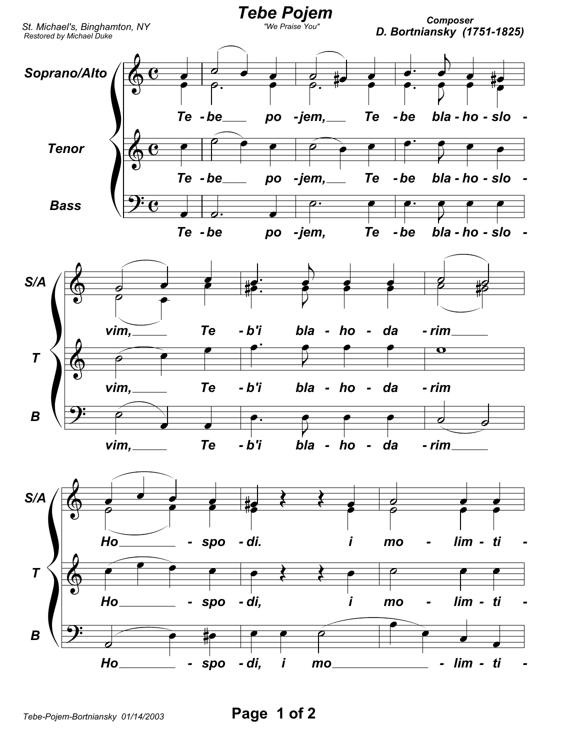